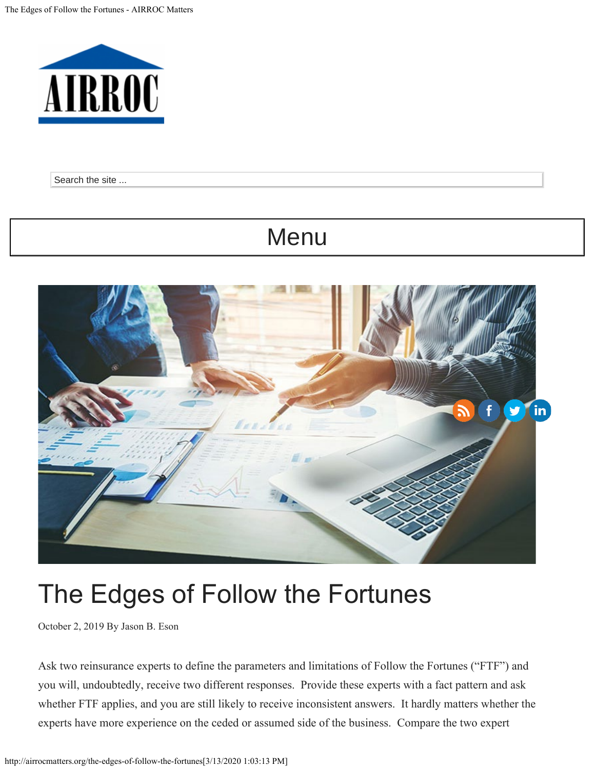<span id="page-0-0"></span>

Search the site ... Search the site ...

## MENU Menu



# The Edges of Follow the Fortunes

October 2, 2019 By [Jason B. Eson](mailto:jeson@rubinfiorella.com)

Ask two reinsurance experts to define the parameters and limitations of Follow the Fortunes ("FTF") and you will, undoubtedly, receive two different responses. Provide these experts with a fact pattern and ask whether FTF applies, and you are still likely to receive inconsistent answers. It hardly matters whether the experts have more experience on the ceded or assumed side of the business. Compare the two expert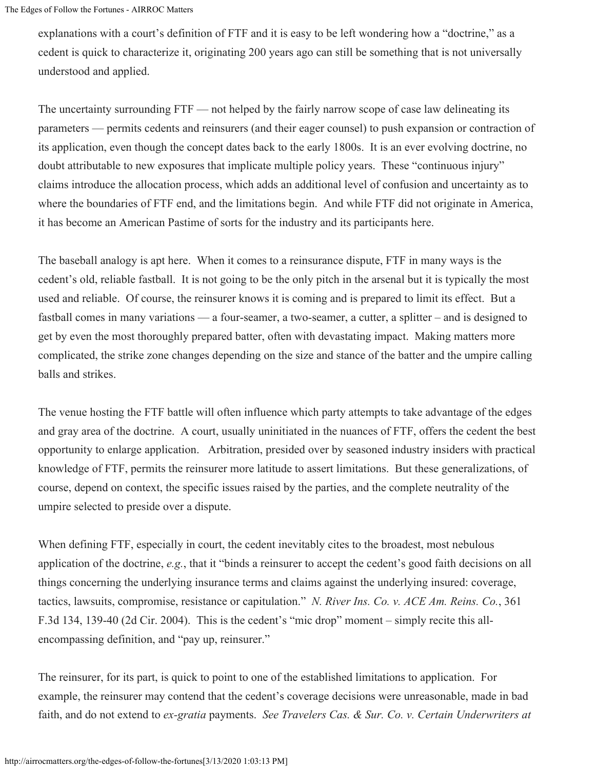explanations with a court's definition of FTF and it is easy to be left wondering how a "doctrine," as a cedent is quick to characterize it, originating 200 years ago can still be something that is not universally understood and applied.

The uncertainty surrounding FTF — not helped by the fairly narrow scope of case law delineating its parameters — permits cedents and reinsurers (and their eager counsel) to push expansion or contraction of its application, even though the concept dates back to the early 1800s. It is an ever evolving doctrine, no doubt attributable to new exposures that implicate multiple policy years. These "continuous injury" claims introduce the allocation process, which adds an additional level of confusion and uncertainty as to where the boundaries of FTF end, and the limitations begin. And while FTF did not originate in America, it has become an American Pastime of sorts for the industry and its participants here.

The baseball analogy is apt here. When it comes to a reinsurance dispute, FTF in many ways is the cedent's old, reliable fastball. It is not going to be the only pitch in the arsenal but it is typically the most used and reliable. Of course, the reinsurer knows it is coming and is prepared to limit its effect. But a fastball comes in many variations — a four-seamer, a two-seamer, a cutter, a splitter – and is designed to get by even the most thoroughly prepared batter, often with devastating impact. Making matters more complicated, the strike zone changes depending on the size and stance of the batter and the umpire calling balls and strikes.

The venue hosting the FTF battle will often influence which party attempts to take advantage of the edges and gray area of the doctrine. A court, usually uninitiated in the nuances of FTF, offers the cedent the best opportunity to enlarge application. Arbitration, presided over by seasoned industry insiders with practical knowledge of FTF, permits the reinsurer more latitude to assert limitations. But these generalizations, of course, depend on context, the specific issues raised by the parties, and the complete neutrality of the umpire selected to preside over a dispute.

When defining FTF, especially in court, the cedent inevitably cites to the broadest, most nebulous application of the doctrine, *e.g.*, that it "binds a reinsurer to accept the cedent's good faith decisions on all things concerning the underlying insurance terms and claims against the underlying insured: coverage, tactics, lawsuits, compromise, resistance or capitulation." *N. River Ins. Co. v. ACE Am. Reins. Co.*, 361 F.3d 134, 139-40 (2d Cir. 2004). This is the cedent's "mic drop" moment – simply recite this allencompassing definition, and "pay up, reinsurer."

The reinsurer, for its part, is quick to point to one of the established limitations to application. For example, the reinsurer may contend that the cedent's coverage decisions were unreasonable, made in bad faith, and do not extend to *ex-gratia* payments. *See Travelers Cas. & Sur. Co. v. Certain Underwriters at*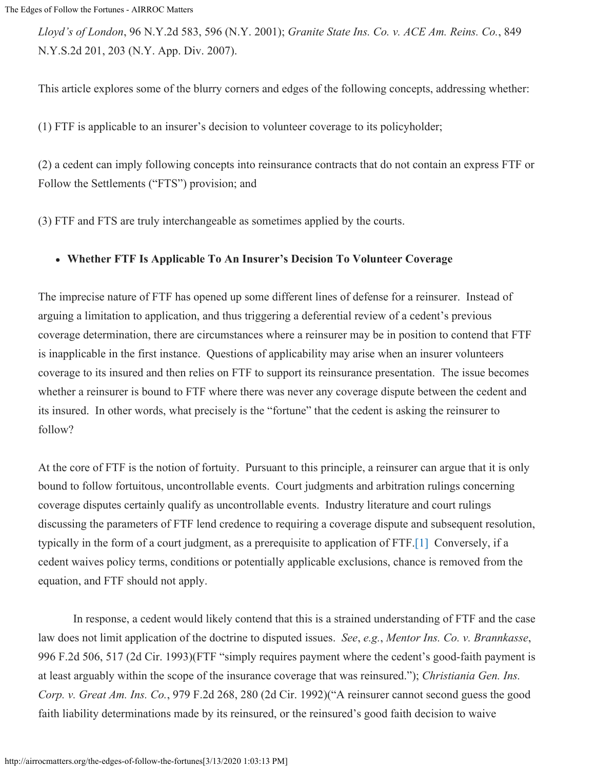*Lloyd's of London*, 96 N.Y.2d 583, 596 (N.Y. 2001); *Granite State Ins. Co. v. ACE Am. Reins. Co.*, 849 N.Y.S.2d 201, 203 (N.Y. App. Div. 2007).

This article explores some of the blurry corners and edges of the following concepts, addressing whether:

(1) FTF is applicable to an insurer's decision to volunteer coverage to its policyholder;

(2) a cedent can imply following concepts into reinsurance contracts that do not contain an express FTF or Follow the Settlements ("FTS") provision; and

(3) FTF and FTS are truly interchangeable as sometimes applied by the courts.

#### **Whether FTF Is Applicable To An Insurer's Decision To Volunteer Coverage**

The imprecise nature of FTF has opened up some different lines of defense for a reinsurer. Instead of arguing a limitation to application, and thus triggering a deferential review of a cedent's previous coverage determination, there are circumstances where a reinsurer may be in position to contend that FTF is inapplicable in the first instance. Questions of applicability may arise when an insurer volunteers coverage to its insured and then relies on FTF to support its reinsurance presentation. The issue becomes whether a reinsurer is bound to FTF where there was never any coverage dispute between the cedent and its insured. In other words, what precisely is the "fortune" that the cedent is asking the reinsurer to follow?

At the core of FTF is the notion of fortuity. Pursuant to this principle, a reinsurer can argue that it is only bound to follow fortuitous, uncontrollable events. Court judgments and arbitration rulings concerning coverage disputes certainly qualify as uncontrollable events. Industry literature and court rulings discussing the parameters of FTF lend credence to requiring a coverage dispute and subsequent resolution, typically in the form of a court judgment, as a prerequisite to application of FTF[.\[1\]](#page-0-0) Conversely, if a cedent waives policy terms, conditions or potentially applicable exclusions, chance is removed from the equation, and FTF should not apply.

 In response, a cedent would likely contend that this is a strained understanding of FTF and the case law does not limit application of the doctrine to disputed issues. *See*, *e.g.*, *Mentor Ins. Co. v. Brannkasse*, 996 F.2d 506, 517 (2d Cir. 1993)(FTF "simply requires payment where the cedent's good-faith payment is at least arguably within the scope of the insurance coverage that was reinsured."); *Christiania Gen. Ins. Corp. v. Great Am. Ins. Co.*, 979 F.2d 268, 280 (2d Cir. 1992)("A reinsurer cannot second guess the good faith liability determinations made by its reinsured, or the reinsured's good faith decision to waive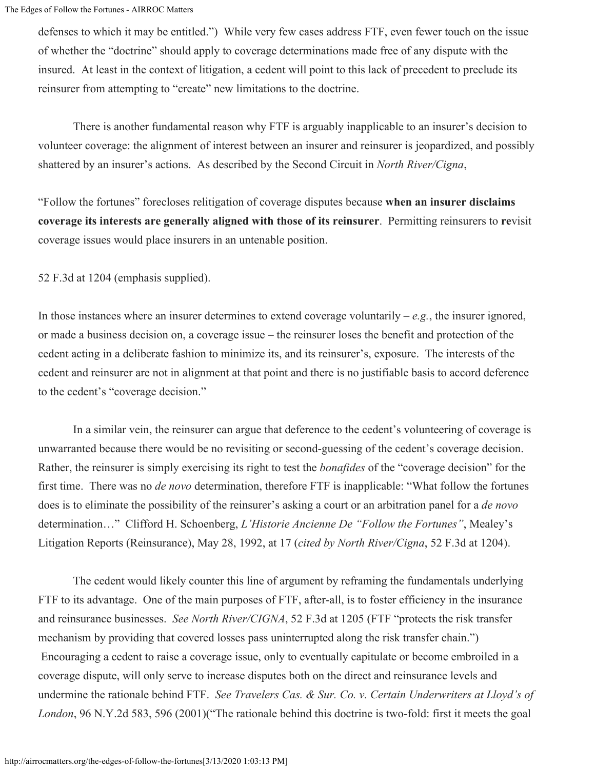defenses to which it may be entitled.") While very few cases address FTF, even fewer touch on the issue of whether the "doctrine" should apply to coverage determinations made free of any dispute with the insured. At least in the context of litigation, a cedent will point to this lack of precedent to preclude its reinsurer from attempting to "create" new limitations to the doctrine.

 There is another fundamental reason why FTF is arguably inapplicable to an insurer's decision to volunteer coverage: the alignment of interest between an insurer and reinsurer is jeopardized, and possibly shattered by an insurer's actions. As described by the Second Circuit in *North River/Cigna*,

"Follow the fortunes" forecloses relitigation of coverage disputes because **when an insurer disclaims coverage its interests are generally aligned with those of its reinsurer**. Permitting reinsurers to **re**visit coverage issues would place insurers in an untenable position.

52 F.3d at 1204 (emphasis supplied).

In those instances where an insurer determines to extend coverage voluntarily – *e.g.*, the insurer ignored, or made a business decision on, a coverage issue – the reinsurer loses the benefit and protection of the cedent acting in a deliberate fashion to minimize its, and its reinsurer's, exposure. The interests of the cedent and reinsurer are not in alignment at that point and there is no justifiable basis to accord deference to the cedent's "coverage decision."

 In a similar vein, the reinsurer can argue that deference to the cedent's volunteering of coverage is unwarranted because there would be no revisiting or second-guessing of the cedent's coverage decision. Rather, the reinsurer is simply exercising its right to test the *bonafides* of the "coverage decision" for the first time. There was no *de novo* determination, therefore FTF is inapplicable: "What follow the fortunes does is to eliminate the possibility of the reinsurer's asking a court or an arbitration panel for a *de novo* determination…" Clifford H. Schoenberg, *L'Historie Ancienne De "Follow the Fortunes"*, Mealey's Litigation Reports (Reinsurance), May 28, 1992, at 17 (*cited by North River/Cigna*, 52 F.3d at 1204).

 The cedent would likely counter this line of argument by reframing the fundamentals underlying FTF to its advantage. One of the main purposes of FTF, after-all, is to foster efficiency in the insurance and reinsurance businesses. *See North River/CIGNA*, 52 F.3d at 1205 (FTF "protects the risk transfer mechanism by providing that covered losses pass uninterrupted along the risk transfer chain.") Encouraging a cedent to raise a coverage issue, only to eventually capitulate or become embroiled in a coverage dispute, will only serve to increase disputes both on the direct and reinsurance levels and undermine the rationale behind FTF. *See Travelers Cas. & Sur. Co. v. Certain Underwriters at Lloyd's of London*, 96 N.Y.2d 583, 596 (2001)("The rationale behind this doctrine is two-fold: first it meets the goal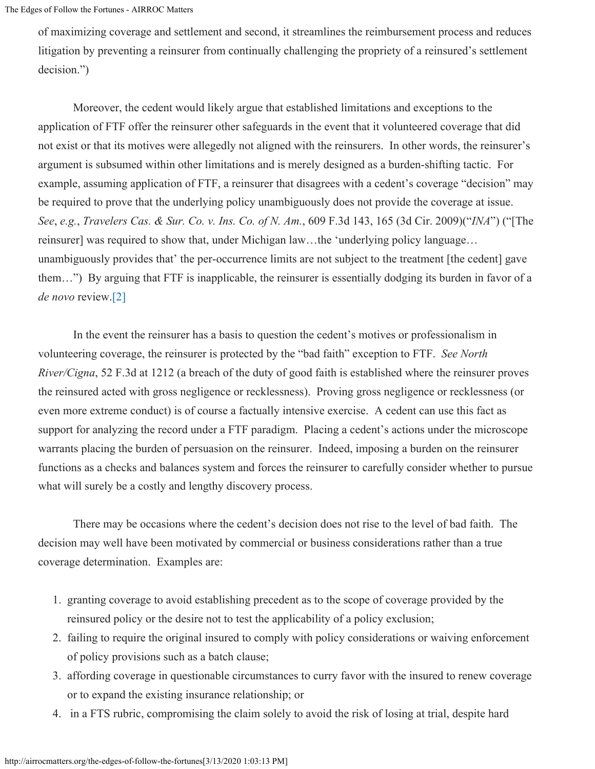The Edges of Follow the Fortunes - AIRROC Matters

of maximizing coverage and settlement and second, it streamlines the reimbursement process and reduces litigation by preventing a reinsurer from continually challenging the propriety of a reinsured's settlement decision.")

 Moreover, the cedent would likely argue that established limitations and exceptions to the application of FTF offer the reinsurer other safeguards in the event that it volunteered coverage that did not exist or that its motives were allegedly not aligned with the reinsurers. In other words, the reinsurer's argument is subsumed within other limitations and is merely designed as a burden-shifting tactic. For example, assuming application of FTF, a reinsurer that disagrees with a cedent's coverage "decision" may be required to prove that the underlying policy unambiguously does not provide the coverage at issue. *See*, *e.g.*, *Travelers Cas. & Sur. Co. v. Ins. Co. of N. Am.*, 609 F.3d 143, 165 (3d Cir. 2009)("*INA*") ("[The reinsurer] was required to show that, under Michigan law…the 'underlying policy language… unambiguously provides that' the per-occurrence limits are not subject to the treatment [the cedent] gave them…") By arguing that FTF is inapplicable, the reinsurer is essentially dodging its burden in favor of a *de novo* review[.\[2\]](#page-0-0)

 In the event the reinsurer has a basis to question the cedent's motives or professionalism in volunteering coverage, the reinsurer is protected by the "bad faith" exception to FTF. *See North River/Cigna*, 52 F.3d at 1212 (a breach of the duty of good faith is established where the reinsurer proves the reinsured acted with gross negligence or recklessness). Proving gross negligence or recklessness (or even more extreme conduct) is of course a factually intensive exercise. A cedent can use this fact as support for analyzing the record under a FTF paradigm. Placing a cedent's actions under the microscope warrants placing the burden of persuasion on the reinsurer. Indeed, imposing a burden on the reinsurer functions as a checks and balances system and forces the reinsurer to carefully consider whether to pursue what will surely be a costly and lengthy discovery process.

 There may be occasions where the cedent's decision does not rise to the level of bad faith. The decision may well have been motivated by commercial or business considerations rather than a true coverage determination. Examples are:

- 1. granting coverage to avoid establishing precedent as to the scope of coverage provided by the reinsured policy or the desire not to test the applicability of a policy exclusion;
- 2. failing to require the original insured to comply with policy considerations or waiving enforcement of policy provisions such as a batch clause;
- 3. affording coverage in questionable circumstances to curry favor with the insured to renew coverage or to expand the existing insurance relationship; or
- 4. in a FTS rubric, compromising the claim solely to avoid the risk of losing at trial, despite hard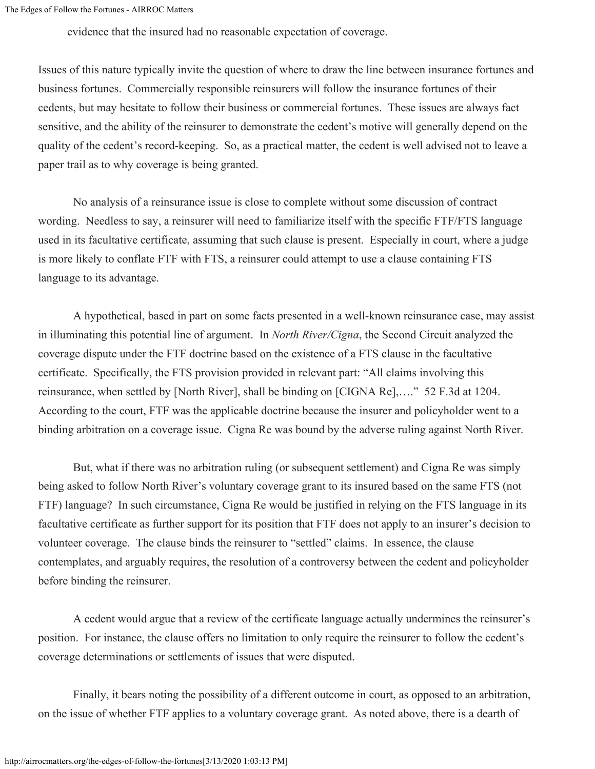evidence that the insured had no reasonable expectation of coverage.

Issues of this nature typically invite the question of where to draw the line between insurance fortunes and business fortunes. Commercially responsible reinsurers will follow the insurance fortunes of their cedents, but may hesitate to follow their business or commercial fortunes. These issues are always fact sensitive, and the ability of the reinsurer to demonstrate the cedent's motive will generally depend on the quality of the cedent's record-keeping. So, as a practical matter, the cedent is well advised not to leave a paper trail as to why coverage is being granted.

 No analysis of a reinsurance issue is close to complete without some discussion of contract wording. Needless to say, a reinsurer will need to familiarize itself with the specific FTF/FTS language used in its facultative certificate, assuming that such clause is present. Especially in court, where a judge is more likely to conflate FTF with FTS, a reinsurer could attempt to use a clause containing FTS language to its advantage.

 A hypothetical, based in part on some facts presented in a well-known reinsurance case, may assist in illuminating this potential line of argument. In *North River/Cigna*, the Second Circuit analyzed the coverage dispute under the FTF doctrine based on the existence of a FTS clause in the facultative certificate. Specifically, the FTS provision provided in relevant part: "All claims involving this reinsurance, when settled by [North River], shall be binding on [CIGNA Re],…." 52 F.3d at 1204. According to the court, FTF was the applicable doctrine because the insurer and policyholder went to a binding arbitration on a coverage issue. Cigna Re was bound by the adverse ruling against North River.

 But, what if there was no arbitration ruling (or subsequent settlement) and Cigna Re was simply being asked to follow North River's voluntary coverage grant to its insured based on the same FTS (not FTF) language? In such circumstance, Cigna Re would be justified in relying on the FTS language in its facultative certificate as further support for its position that FTF does not apply to an insurer's decision to volunteer coverage. The clause binds the reinsurer to "settled" claims. In essence, the clause contemplates, and arguably requires, the resolution of a controversy between the cedent and policyholder before binding the reinsurer.

 A cedent would argue that a review of the certificate language actually undermines the reinsurer's position. For instance, the clause offers no limitation to only require the reinsurer to follow the cedent's coverage determinations or settlements of issues that were disputed.

 Finally, it bears noting the possibility of a different outcome in court, as opposed to an arbitration, on the issue of whether FTF applies to a voluntary coverage grant. As noted above, there is a dearth of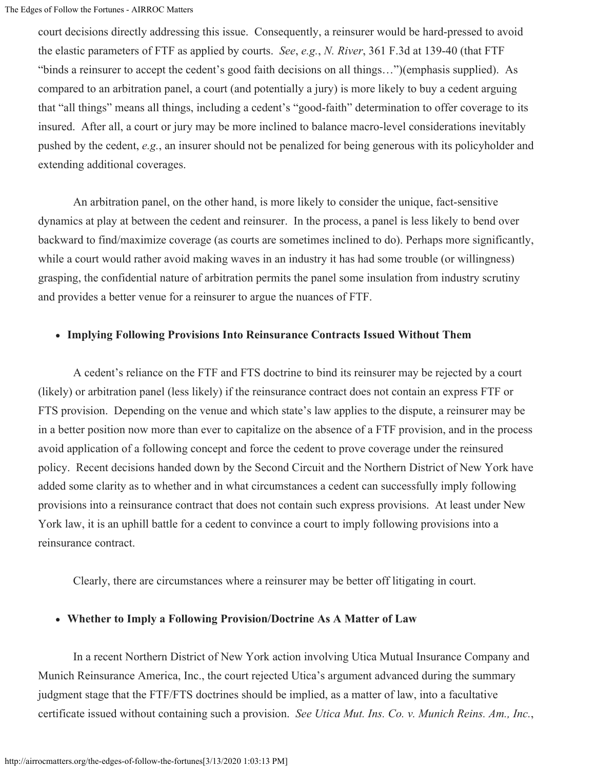court decisions directly addressing this issue. Consequently, a reinsurer would be hard-pressed to avoid the elastic parameters of FTF as applied by courts. *See*, *e.g.*, *N. River*, 361 F.3d at 139-40 (that FTF "binds a reinsurer to accept the cedent's good faith decisions on all things…")(emphasis supplied). As compared to an arbitration panel, a court (and potentially a jury) is more likely to buy a cedent arguing that "all things" means all things, including a cedent's "good-faith" determination to offer coverage to its insured. After all, a court or jury may be more inclined to balance macro-level considerations inevitably pushed by the cedent, *e.g.*, an insurer should not be penalized for being generous with its policyholder and extending additional coverages.

 An arbitration panel, on the other hand, is more likely to consider the unique, fact-sensitive dynamics at play at between the cedent and reinsurer. In the process, a panel is less likely to bend over backward to find/maximize coverage (as courts are sometimes inclined to do). Perhaps more significantly, while a court would rather avoid making waves in an industry it has had some trouble (or willingness) grasping, the confidential nature of arbitration permits the panel some insulation from industry scrutiny and provides a better venue for a reinsurer to argue the nuances of FTF.

#### **Implying Following Provisions Into Reinsurance Contracts Issued Without Them**

 A cedent's reliance on the FTF and FTS doctrine to bind its reinsurer may be rejected by a court (likely) or arbitration panel (less likely) if the reinsurance contract does not contain an express FTF or FTS provision. Depending on the venue and which state's law applies to the dispute, a reinsurer may be in a better position now more than ever to capitalize on the absence of a FTF provision, and in the process avoid application of a following concept and force the cedent to prove coverage under the reinsured policy. Recent decisions handed down by the Second Circuit and the Northern District of New York have added some clarity as to whether and in what circumstances a cedent can successfully imply following provisions into a reinsurance contract that does not contain such express provisions. At least under New York law, it is an uphill battle for a cedent to convince a court to imply following provisions into a reinsurance contract.

Clearly, there are circumstances where a reinsurer may be better off litigating in court.

#### **Whether to Imply a Following Provision/Doctrine As A Matter of Law**

 In a recent Northern District of New York action involving Utica Mutual Insurance Company and Munich Reinsurance America, Inc., the court rejected Utica's argument advanced during the summary judgment stage that the FTF/FTS doctrines should be implied, as a matter of law, into a facultative certificate issued without containing such a provision. *See Utica Mut. Ins. Co. v. Munich Reins. Am., Inc.*,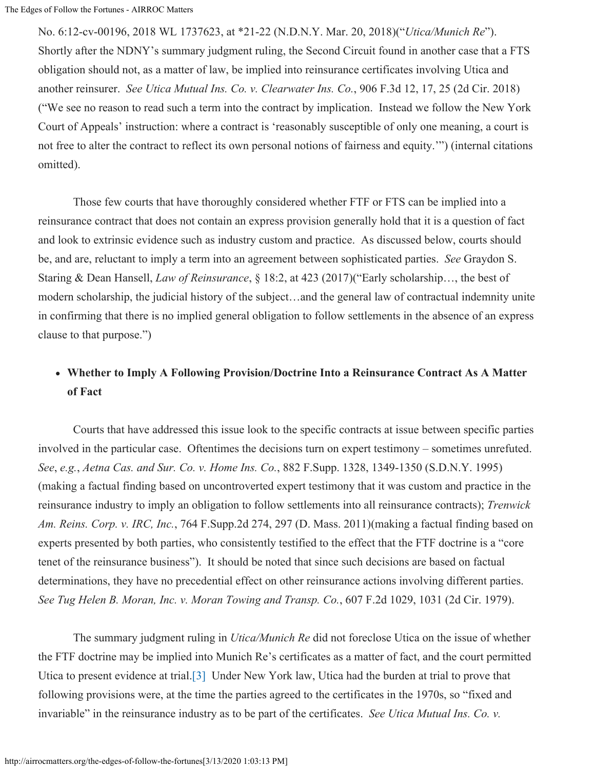No. 6:12-cv-00196, 2018 WL 1737623, at \*21-22 (N.D.N.Y. Mar. 20, 2018)("*Utica/Munich Re*"). Shortly after the NDNY's summary judgment ruling, the Second Circuit found in another case that a FTS obligation should not, as a matter of law, be implied into reinsurance certificates involving Utica and another reinsurer. *See Utica Mutual Ins. Co. v. Clearwater Ins. Co.*, 906 F.3d 12, 17, 25 (2d Cir. 2018) ("We see no reason to read such a term into the contract by implication. Instead we follow the New York Court of Appeals' instruction: where a contract is 'reasonably susceptible of only one meaning, a court is not free to alter the contract to reflect its own personal notions of fairness and equity.'") (internal citations omitted).

 Those few courts that have thoroughly considered whether FTF or FTS can be implied into a reinsurance contract that does not contain an express provision generally hold that it is a question of fact and look to extrinsic evidence such as industry custom and practice. As discussed below, courts should be, and are, reluctant to imply a term into an agreement between sophisticated parties. *See* Graydon S. Staring & Dean Hansell, *Law of Reinsurance*, § 18:2, at 423 (2017)("Early scholarship…, the best of modern scholarship, the judicial history of the subject…and the general law of contractual indemnity unite in confirming that there is no implied general obligation to follow settlements in the absence of an express clause to that purpose.")

### **Whether to Imply A Following Provision/Doctrine Into a Reinsurance Contract As A Matter of Fact**

 Courts that have addressed this issue look to the specific contracts at issue between specific parties involved in the particular case. Oftentimes the decisions turn on expert testimony – sometimes unrefuted. *See*, *e.g.*, *Aetna Cas. and Sur. Co. v. Home Ins. Co.*, 882 F.Supp. 1328, 1349-1350 (S.D.N.Y. 1995) (making a factual finding based on uncontroverted expert testimony that it was custom and practice in the reinsurance industry to imply an obligation to follow settlements into all reinsurance contracts); *Trenwick Am. Reins. Corp. v. IRC, Inc.*, 764 F.Supp.2d 274, 297 (D. Mass. 2011)(making a factual finding based on experts presented by both parties, who consistently testified to the effect that the FTF doctrine is a "core tenet of the reinsurance business"). It should be noted that since such decisions are based on factual determinations, they have no precedential effect on other reinsurance actions involving different parties. *See Tug Helen B. Moran, Inc. v. Moran Towing and Transp. Co.*, 607 F.2d 1029, 1031 (2d Cir. 1979).

 The summary judgment ruling in *Utica/Munich Re* did not foreclose Utica on the issue of whether the FTF doctrine may be implied into Munich Re's certificates as a matter of fact, and the court permitted Utica to present evidence at trial.[\[3\]](#page-0-0) Under New York law, Utica had the burden at trial to prove that following provisions were, at the time the parties agreed to the certificates in the 1970s, so "fixed and invariable" in the reinsurance industry as to be part of the certificates. *See Utica Mutual Ins. Co. v.*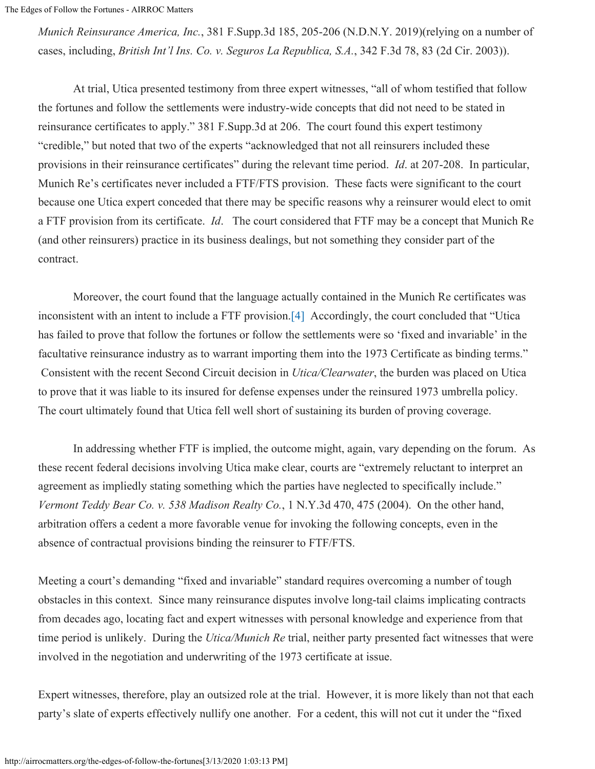The Edges of Follow the Fortunes - AIRROC Matters

*Munich Reinsurance America, Inc.*, 381 F.Supp.3d 185, 205-206 (N.D.N.Y. 2019)(relying on a number of cases, including, *British Int'l Ins. Co. v. Seguros La Republica, S.A.*, 342 F.3d 78, 83 (2d Cir. 2003)).

 At trial, Utica presented testimony from three expert witnesses, "all of whom testified that follow the fortunes and follow the settlements were industry-wide concepts that did not need to be stated in reinsurance certificates to apply." 381 F.Supp.3d at 206. The court found this expert testimony "credible," but noted that two of the experts "acknowledged that not all reinsurers included these provisions in their reinsurance certificates" during the relevant time period. *Id*. at 207-208. In particular, Munich Re's certificates never included a FTF/FTS provision. These facts were significant to the court because one Utica expert conceded that there may be specific reasons why a reinsurer would elect to omit a FTF provision from its certificate. *Id*. The court considered that FTF may be a concept that Munich Re (and other reinsurers) practice in its business dealings, but not something they consider part of the contract.

 Moreover, the court found that the language actually contained in the Munich Re certificates was inconsistent with an intent to include a FTF provision.[\[4\]](#page-0-0) Accordingly, the court concluded that "Utica has failed to prove that follow the fortunes or follow the settlements were so 'fixed and invariable' in the facultative reinsurance industry as to warrant importing them into the 1973 Certificate as binding terms." Consistent with the recent Second Circuit decision in *Utica/Clearwater*, the burden was placed on Utica to prove that it was liable to its insured for defense expenses under the reinsured 1973 umbrella policy. The court ultimately found that Utica fell well short of sustaining its burden of proving coverage.

 In addressing whether FTF is implied, the outcome might, again, vary depending on the forum. As these recent federal decisions involving Utica make clear, courts are "extremely reluctant to interpret an agreement as impliedly stating something which the parties have neglected to specifically include." *Vermont Teddy Bear Co. v. 538 Madison Realty Co.*, 1 N.Y.3d 470, 475 (2004). On the other hand, arbitration offers a cedent a more favorable venue for invoking the following concepts, even in the absence of contractual provisions binding the reinsurer to FTF/FTS.

Meeting a court's demanding "fixed and invariable" standard requires overcoming a number of tough obstacles in this context. Since many reinsurance disputes involve long-tail claims implicating contracts from decades ago, locating fact and expert witnesses with personal knowledge and experience from that time period is unlikely. During the *Utica/Munich Re* trial, neither party presented fact witnesses that were involved in the negotiation and underwriting of the 1973 certificate at issue.

Expert witnesses, therefore, play an outsized role at the trial. However, it is more likely than not that each party's slate of experts effectively nullify one another. For a cedent, this will not cut it under the "fixed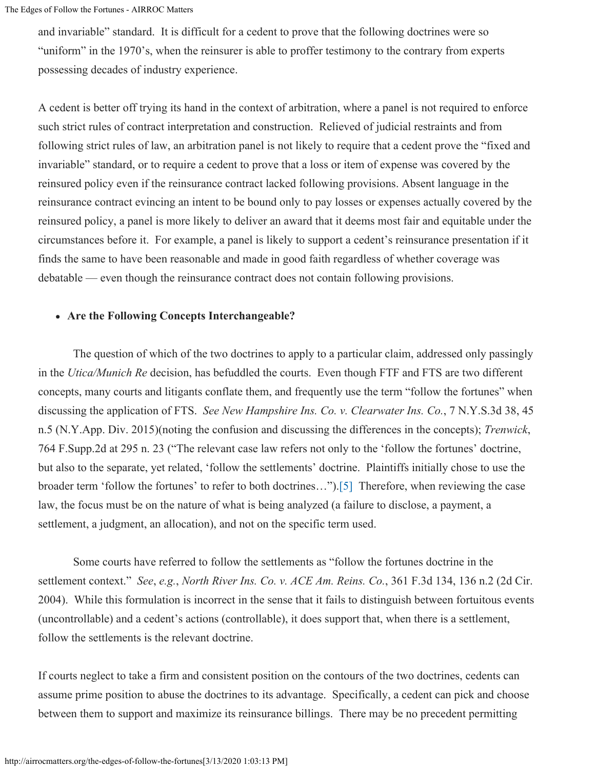and invariable" standard. It is difficult for a cedent to prove that the following doctrines were so "uniform" in the 1970's, when the reinsurer is able to proffer testimony to the contrary from experts possessing decades of industry experience.

A cedent is better off trying its hand in the context of arbitration, where a panel is not required to enforce such strict rules of contract interpretation and construction. Relieved of judicial restraints and from following strict rules of law, an arbitration panel is not likely to require that a cedent prove the "fixed and invariable" standard, or to require a cedent to prove that a loss or item of expense was covered by the reinsured policy even if the reinsurance contract lacked following provisions. Absent language in the reinsurance contract evincing an intent to be bound only to pay losses or expenses actually covered by the reinsured policy, a panel is more likely to deliver an award that it deems most fair and equitable under the circumstances before it. For example, a panel is likely to support a cedent's reinsurance presentation if it finds the same to have been reasonable and made in good faith regardless of whether coverage was debatable — even though the reinsurance contract does not contain following provisions.

#### **Are the Following Concepts Interchangeable?**

 The question of which of the two doctrines to apply to a particular claim, addressed only passingly in the *Utica/Munich Re* decision, has befuddled the courts. Even though FTF and FTS are two different concepts, many courts and litigants conflate them, and frequently use the term "follow the fortunes" when discussing the application of FTS. *See New Hampshire Ins. Co. v. Clearwater Ins. Co.*, 7 N.Y.S.3d 38, 45 n.5 (N.Y.App. Div. 2015)(noting the confusion and discussing the differences in the concepts); *Trenwick*, 764 F.Supp.2d at 295 n. 23 ("The relevant case law refers not only to the 'follow the fortunes' doctrine, but also to the separate, yet related, 'follow the settlements' doctrine. Plaintiffs initially chose to use the broader term 'follow the fortunes' to refer to both doctrines…")[.\[5\]](#page-0-0) Therefore, when reviewing the case law, the focus must be on the nature of what is being analyzed (a failure to disclose, a payment, a settlement, a judgment, an allocation), and not on the specific term used.

 Some courts have referred to follow the settlements as "follow the fortunes doctrine in the settlement context." *See*, *e.g.*, *North River Ins. Co. v. ACE Am. Reins. Co.*, 361 F.3d 134, 136 n.2 (2d Cir. 2004). While this formulation is incorrect in the sense that it fails to distinguish between fortuitous events (uncontrollable) and a cedent's actions (controllable), it does support that, when there is a settlement, follow the settlements is the relevant doctrine.

If courts neglect to take a firm and consistent position on the contours of the two doctrines, cedents can assume prime position to abuse the doctrines to its advantage. Specifically, a cedent can pick and choose between them to support and maximize its reinsurance billings. There may be no precedent permitting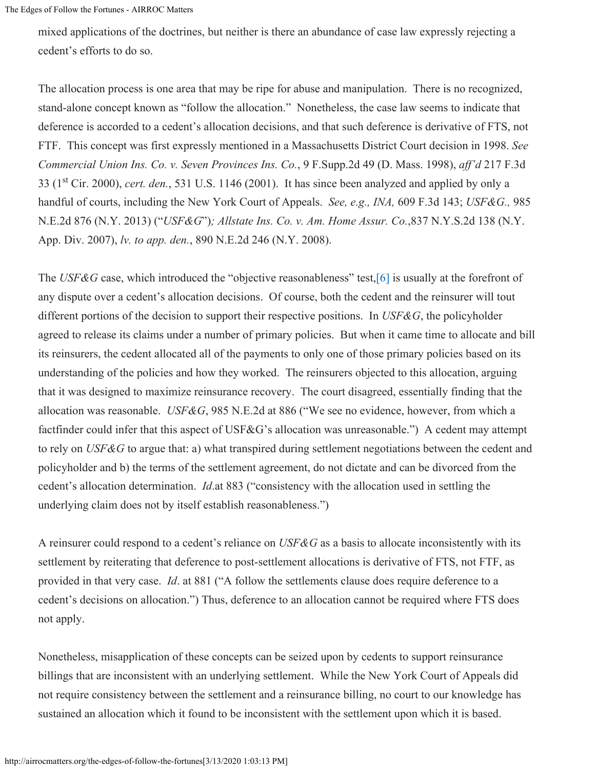mixed applications of the doctrines, but neither is there an abundance of case law expressly rejecting a cedent's efforts to do so.

The allocation process is one area that may be ripe for abuse and manipulation. There is no recognized, stand-alone concept known as "follow the allocation." Nonetheless, the case law seems to indicate that deference is accorded to a cedent's allocation decisions, and that such deference is derivative of FTS, not FTF. This concept was first expressly mentioned in a Massachusetts District Court decision in 1998. *See Commercial Union Ins. Co. v. Seven Provinces Ins. Co.*, 9 F.Supp.2d 49 (D. Mass. 1998), *aff'd* 217 F.3d 33 (1<sup>st</sup> Cir. 2000), *cert. den.*, 531 U.S. 1146 (2001). It has since been analyzed and applied by only a handful of courts, including the New York Court of Appeals. *See, e.g., INA,* 609 F.3d 143; *USF&G.,* 985 N.E.2d 876 (N.Y. 2013) ("*USF&G*")*; Allstate Ins. Co. v. Am. Home Assur. Co.*,837 N.Y.S.2d 138 (N.Y. App. Div. 2007), *lv. to app. den.*, 890 N.E.2d 246 (N.Y. 2008).

The *USF&G* case, which introduced the "objective reasonableness" test, [6] is usually at the forefront of any dispute over a cedent's allocation decisions. Of course, both the cedent and the reinsurer will tout different portions of the decision to support their respective positions. In *USF&G*, the policyholder agreed to release its claims under a number of primary policies. But when it came time to allocate and bill its reinsurers, the cedent allocated all of the payments to only one of those primary policies based on its understanding of the policies and how they worked. The reinsurers objected to this allocation, arguing that it was designed to maximize reinsurance recovery. The court disagreed, essentially finding that the allocation was reasonable. *USF&G*, 985 N.E.2d at 886 ("We see no evidence, however, from which a factfinder could infer that this aspect of USF&G's allocation was unreasonable.") A cedent may attempt to rely on *USF&G* to argue that: a) what transpired during settlement negotiations between the cedent and policyholder and b) the terms of the settlement agreement, do not dictate and can be divorced from the cedent's allocation determination. *Id*.at 883 ("consistency with the allocation used in settling the underlying claim does not by itself establish reasonableness.")

A reinsurer could respond to a cedent's reliance on *USF&G* as a basis to allocate inconsistently with its settlement by reiterating that deference to post-settlement allocations is derivative of FTS, not FTF, as provided in that very case. *Id*. at 881 ("A follow the settlements clause does require deference to a cedent's decisions on allocation.") Thus, deference to an allocation cannot be required where FTS does not apply.

Nonetheless, misapplication of these concepts can be seized upon by cedents to support reinsurance billings that are inconsistent with an underlying settlement. While the New York Court of Appeals did not require consistency between the settlement and a reinsurance billing, no court to our knowledge has sustained an allocation which it found to be inconsistent with the settlement upon which it is based.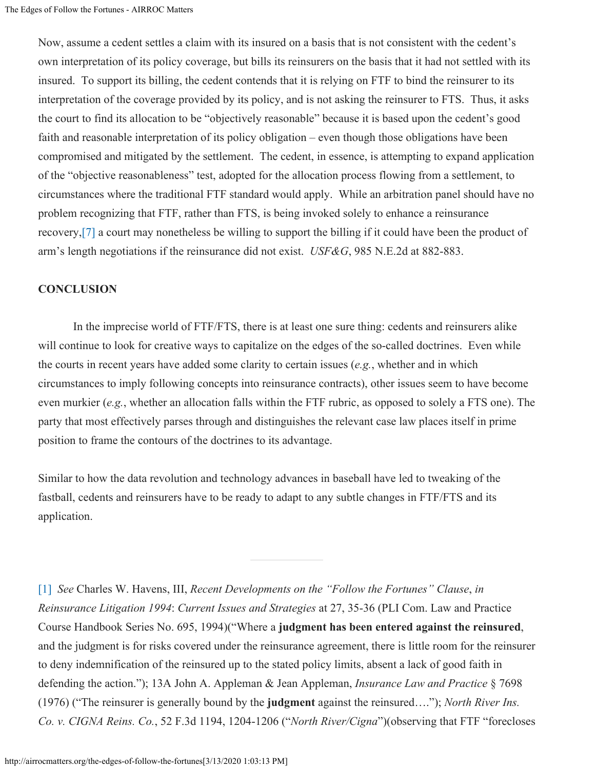Now, assume a cedent settles a claim with its insured on a basis that is not consistent with the cedent's own interpretation of its policy coverage, but bills its reinsurers on the basis that it had not settled with its insured. To support its billing, the cedent contends that it is relying on FTF to bind the reinsurer to its interpretation of the coverage provided by its policy, and is not asking the reinsurer to FTS. Thus, it asks the court to find its allocation to be "objectively reasonable" because it is based upon the cedent's good faith and reasonable interpretation of its policy obligation – even though those obligations have been compromised and mitigated by the settlement. The cedent, in essence, is attempting to expand application of the "objective reasonableness" test, adopted for the allocation process flowing from a settlement, to circumstances where the traditional FTF standard would apply. While an arbitration panel should have no problem recognizing that FTF, rather than FTS, is being invoked solely to enhance a reinsurance recovery[,\[7\]](#page-0-0) a court may nonetheless be willing to support the billing if it could have been the product of arm's length negotiations if the reinsurance did not exist. *USF&G*, 985 N.E.2d at 882-883.

#### **CONCLUSION**

 In the imprecise world of FTF/FTS, there is at least one sure thing: cedents and reinsurers alike will continue to look for creative ways to capitalize on the edges of the so-called doctrines. Even while the courts in recent years have added some clarity to certain issues (*e.g.*, whether and in which circumstances to imply following concepts into reinsurance contracts), other issues seem to have become even murkier (*e.g.*, whether an allocation falls within the FTF rubric, as opposed to solely a FTS one). The party that most effectively parses through and distinguishes the relevant case law places itself in prime position to frame the contours of the doctrines to its advantage.

Similar to how the data revolution and technology advances in baseball have led to tweaking of the fastball, cedents and reinsurers have to be ready to adapt to any subtle changes in FTF/FTS and its application.

[\[1\]](#page-0-0) *See* Charles W. Havens, III, *Recent Developments on the "Follow the Fortunes" Clause*, *in Reinsurance Litigation 1994*: *Current Issues and Strategies* at 27, 35-36 (PLI Com. Law and Practice Course Handbook Series No. 695, 1994)("Where a **judgment has been entered against the reinsured**, and the judgment is for risks covered under the reinsurance agreement, there is little room for the reinsurer to deny indemnification of the reinsured up to the stated policy limits, absent a lack of good faith in defending the action."); 13A John A. Appleman & Jean Appleman, *Insurance Law and Practice* § 7698 (1976) ("The reinsurer is generally bound by the **judgment** against the reinsured…."); *North River Ins. Co. v. CIGNA Reins. Co.*, 52 F.3d 1194, 1204-1206 ("*North River/Cigna*")(observing that FTF "forecloses